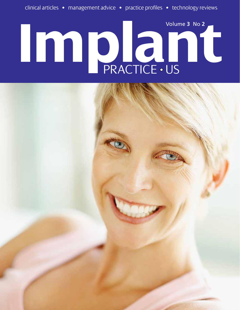# **IMPLANTICE . US** Volume **3** No **2**

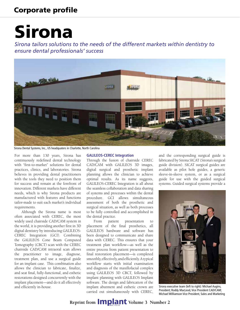# Sirona

*Sirona tailors solutions to the needs of the different markets within dentistry to ensure dental professionals' success*



Sirona Dental Systems, Inc., US headquaters in Charlotte, North Carolina

For more than 130 years, Sirona has continuously redefined dental technology with "first-to-market" solutions for dental practices, clinics, and laboratories. Sirona believes in providing dental practitioners with the tools they need to position them for success and remain at the forefront of innovation. Different markets have different needs, which is why Sirona products are manufactured with features and functions tailor-made to suit each market's individual requirements.

Although the Sirona name is most often associated with CEREC, the most widely used chairside CAD/CAM system in the world, it is providing another first in 3D digital dentistry by introducing GALILEOS-CEREC Integration (GCI). Combining the GALILEOS Cone Beam Computed Tomography (CBCT) scan with the CEREC chairside CAD/CAM intraoral scan allows the practitioner to image, diagnose, treatment plan, and use a surgical guide for an implant case. This combination also allows the clinician to fabricate, finalize, and seat final, fully-functional, and esthetic restorations designed concurrently with the implant placement—and do it all effectively and efficiently in-house.

#### **GALILEOS-CEREC Integration**

Through the fusion of chairside CEREC CAD/CAM with GALILEOS 3D images, digital surgical and prosthetic implant planning allows the clinician to achieve optimal results. As its name suggests, GALILEOS-CEREC Integration is all about the seamless collaboration and data sharing of systems and processes within the dental procedure. GCI allows simultaneous assessment of both the prosthetic and surgical situation, as well as both processes to be fully controlled and accomplished in the dental practice.

From patient presentation to placement of the final prosthetics, all GALILEOS hardware and software has been designed to communicate and share data with CEREC. This ensures that your treatment plan workflow—as well as the entire process from patient presentation to final restoration placement—is completed smoothly, effectively, and efficiently. A typical workflow starts with initial examination and diagnosis of the maxillofacial complex using GALILEOS 3D CBCT, followed by implant planning with GALILEOS Implant software. The design and fabrication of the implant abutment and esthetic crown are carried out simultaneously with CEREC,

and the corresponding surgical guide is fabricated by Sirona SICAT (Sirona's surgical guide division). SICAT surgical guides are available as pilot hole guides, a generic sleeve-in-sleeve system, or as a surgical guide for use with the guided surgical systems. Guided surgical systems provide a



Sirona executive team (left to right): Michael Augins, President; Roddy MacLeod, Vice President CAD/CAM; Michael Williamson Vice President, Sales and Marketing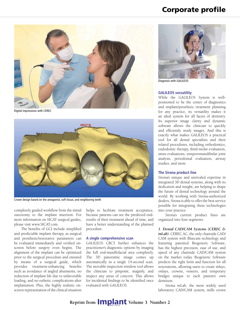

Digital Impressions with CEREC



Crown design based on the antagonist, soft tissue, and neighboring teeth

completely guided workflow from the initial osteotomy to the implant insertion. For more information on SICAT surgical guides, please visit www.SICAT.com.

The benefits of GCI include simplified and predictable implant therapy, as surgical and prosthetic/restorative parameters can be evaluated immediately and verified onscreen before surgery even begins. The alignment of the implant can be optimized prior to the surgical procedure and ensured by means of a surgical guide, which provides treatment-enhancing benefits such as avoidance of angled abutments, no reduction of implant life due to unfavorable loading, and no esthetic complications after implantation. Plus, the highly realistic onscreen representation of the clinical situation

helps to facilitate treatment acceptance, because patients can see the predicted endresults of their treatment ahead of time, and have a better understanding of the planned procedure.

#### **A single comprehensive scan**

GALILEOS CBCT further enhances the practitioner's diagnostic options by imaging the full oral-maxillofacial area completely. The 3D panoramic image comes up automatically in a single 14-second scan. The movable inspection window tool allows the clinician to pinpoint, magnify, and inspect any areas of concern. This allows for incidental findings to be identified once evaluated with GALILEOS.



Diagnosis with GALILEOS

#### **GALILEOS versatility**

While the GALILEOS System is wellpositioned to be the center of diagnostics and implant/prosthetic treatment planning for any practice, its versatility makes it an ideal system for all facets of dentistry. Its superior image clarity and dynamic software allows the clinician to quickly and efficiently study images. And this is exactly what makes GALILEOS a practical tool for all dental specialties and their related procedures, including orthodontics, endodontic therapy, third-molar evaluation, sinus evaluations, temporomandibular joint analysis, periodontal evaluation, airway studies, and more.

#### **The Sirona product line**

Sirona's unique and unrivaled expertise in integrated 3D dental systems, along with its dedication and insight, are helping to shape the future of dental technology around the world. By working with Sirona-authorized dealers, Sirona is able to offer the best service possible for integrating these technologies into your practice.

Sirona's current product lines are organized into four segments:

*1. Dental CAD/CAM Systems (CEREC & inLab).* CEREC AC, the only chairside CAD/ CAM system with Bluecam technology and featuring patented Biogeneric Software, has the highest precision, ease of use, and speed of any chairside CAD/CAM system on the market today. Biogeneric Software predicts the right form and function for all restorations, allowing users to create inlays, onlays, crowns, veneers, and temporary bridges unique to each patient's own dentition.

Sirona inLab, the most widely used laboratory CAD/CAM system, mills crown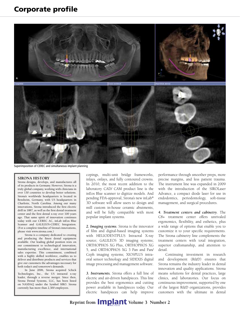

Superimposition of CEREC and simultaneous implant planning

#### **Sirona history**

Sirona designs, develops, and manufactures all of its products in Germany. However, Sirona is a truly global company, working with clinicians in over 130 countries to develop better solutions. Sirona's worldwide headquarters is located in Bensheim, Germany, with US headquarters in Charlotte, North Carolina. Among our many innovations, Sirona introduced the first electric drill in 1887, as well as the first dental treatment center and the first dental x-ray over 100 years ago. That same spirit of innovation continues today with our CEREC AC, inLab inEos Blue Scanner and GALILEOS-CEREC Integration. (For a complete timeline of Sirona's innovations, please visit www.sirona.com.)

Sirona is a company dedicated to creating and producing the finest dental equipment available. Our leading global position rests on our commitment to technological innovation, manufacturing excellence, and international sales expertise. This commitment, combined with a highly skilled workforce, enables us to deliver and distribute products and services that give our customers the advantages necessary for both today's and tomorrow's demands.

In June 2006, Sirona acquired Schick Technologies, Inc., the US intraoral x-ray leader, through a reverse merger. Since then, Sirona Dental Systems, LLC, has been listed on NASDAQ under the Symbol SIRO. Sirona currently has more than 2,300 employees.

copings, multi-unit bridge frameworks, inlays, onlays, and fully contoured crowns. In 2010, the most recent addition to the laboratory CAD/ CAM product line is the inEos Blue scanner to digitize models. And pending FDA-approval, Sirona's new inLab® 3D software will allow users to design and mill custom in-house ceramic abutments, and will be fully compatible with most popular implant systems.

*2. Imaging systems*. Sirona is the innovator of film and digital-based imaging systems with HELIODENTPLUS Intraoral X-ray source; GALILEOS 3D imaging systems; ORTHOPHOS XG Plus, ORTHOPHOS XG 5, and ORTHOPHOS XG 3 Pan and Pan/ Ceph imaging systems; XIOSPLUS intraoral sensor technology and SIDEXIS digital image processing and management software.

*3. Instruments.* Sirona offers a full line of electric and air-driven handpieces. This line provides the best ergonomics and cutting power available in handpieces today. Our electric handpieces can help improve performance through smoother preps, more precise margins, and less patient trauma. The instrument line was expanded in 2009 with the introduction of the SIROLaser Advance, a compact diode laser for use in endodontics, periodontology, soft-tissue management, and surgical procedures.

*4. Treatment centers and cabinetry*. The C8+ treatment center offers unrivaled ergonomics, flexibility, and esthetics, plus a wide range of options that enable you to customize it to your specific requirements. The Sirona cabinetry line complements the treatment centers with total integration, superior craftsmanship, and attention to detail.

Continuing investment in research and development (R&D) ensures that Sirona remains the industry leader in dental innovation and quality applications. Sirona means solutions for dental practices, large clinics, and laboratories. Our focus on continuous improvement, supported by one of the largest R&D organizations, provides customers with the ultimate in dental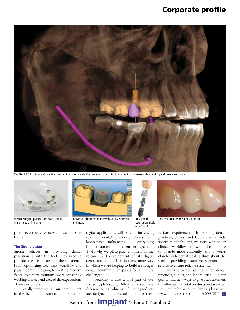

The GALILEOS software allows the clinician to communicate the treatment plan with the patient to increase understanding and case acceptance



Precise surgical guides from SICAT for all major lines of implants



Individual abutment made with CEREC Connect and inLab



with CEREC

digital applications will play an increasing role in dental practices, clinics, and laboratories—influencing everything from treatment to patient management. That's why we place great emphasis on the research and development of 3D digital dental technology. It is just one more way in which we are helping to build a stronger dental community prepared for all future challenges.

Flexibility is also a vital part of our company philosophy. Different markets have different needs, which is why our products are designed and manufactured to meet



various requirements. In offering dental practices, clinics, and laboratories a wide spectrum of solutions, we assist with better clinical workflow, allowing the practice to operate more efficiently. Sirona works closely with dental dealers throughout the world, providing extensive support and service to ensure reliable systems.

Sirona provides solutions for dental practices, clinics, and laboratories. It is our goal to find new ways to give our customers the ultimate in dental products and services. For more information on Sirona, please visit www.sirona.com or call (800) 659-5977.

#### products and services now and well into the future.

#### **The Sirona vision**

Sirona believes in providing dental practitioners with the tools they need to provide the best care for their patients. From optimizing treatment workflow and patient communication, to creating modern dental treatment solutions, we're constantly working to meet and exceed the expectations of our customers.

Equally important is our commitment in the field of innovation. In the future,

**Reprint from <b>IMP**ant Volume 3 Number 2